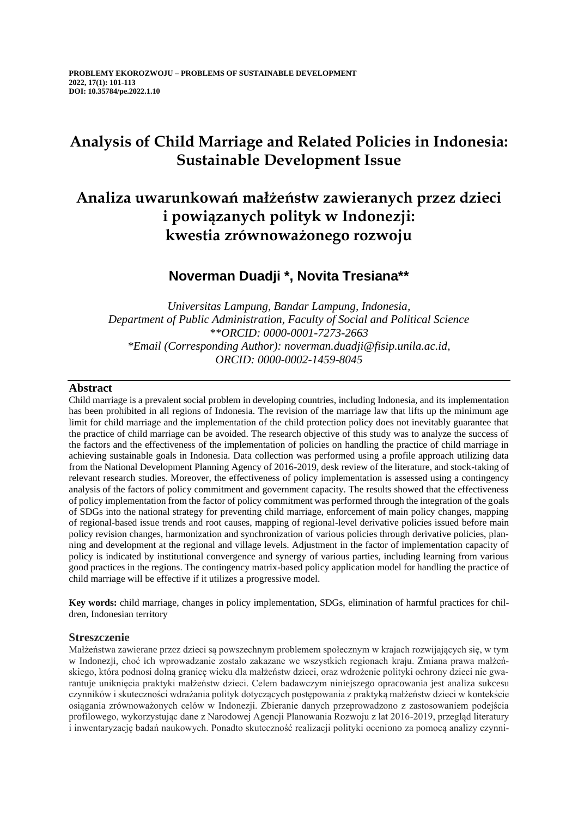# **Analysis of Child Marriage and Related Policies in Indonesia: Sustainable Development Issue**

## **Analiza uwarunkowań małżeństw zawieranych przez dzieci i powiązanych polityk w Indonezji: kwestia zrównoważonego rozwoju**

## **Noverman Duadji \*, Novita Tresiana\*\***

*Universitas Lampung, Bandar Lampung, Indonesia, Department of Public Administration, Faculty of Social and Political Science \*\*ORCID: 0000-0001-7273-2663 \*Email (Corresponding Author): noverman.duadji@fisip.unila.ac.id, ORCID: 0000-0002-1459-8045*

## **Abstract**

Child marriage is a prevalent social problem in developing countries, including Indonesia, and its implementation has been prohibited in all regions of Indonesia. The revision of the marriage law that lifts up the minimum age limit for child marriage and the implementation of the child protection policy does not inevitably guarantee that the practice of child marriage can be avoided. The research objective of this study was to analyze the success of the factors and the effectiveness of the implementation of policies on handling the practice of child marriage in achieving sustainable goals in Indonesia. Data collection was performed using a profile approach utilizing data from the National Development Planning Agency of 2016-2019, desk review of the literature, and stock-taking of relevant research studies. Moreover, the effectiveness of policy implementation is assessed using a contingency analysis of the factors of policy commitment and government capacity. The results showed that the effectiveness of policy implementation from the factor of policy commitment was performed through the integration of the goals of SDGs into the national strategy for preventing child marriage, enforcement of main policy changes, mapping of regional-based issue trends and root causes, mapping of regional-level derivative policies issued before main policy revision changes, harmonization and synchronization of various policies through derivative policies, planning and development at the regional and village levels. Adjustment in the factor of implementation capacity of policy is indicated by institutional convergence and synergy of various parties, including learning from various good practices in the regions. The contingency matrix-based policy application model for handling the practice of child marriage will be effective if it utilizes a progressive model.

**Key words:** child marriage, changes in policy implementation, SDGs, elimination of harmful practices for children, Indonesian territory

## **Streszczenie**

Małżeństwa zawierane przez dzieci są powszechnym problemem społecznym w krajach rozwijających się, w tym w Indonezji, choć ich wprowadzanie zostało zakazane we wszystkich regionach kraju. Zmiana prawa małżeńskiego, która podnosi dolną granicę wieku dla małżeństw dzieci, oraz wdrożenie polityki ochrony dzieci nie gwarantuje uniknięcia praktyki małżeństw dzieci. Celem badawczym niniejszego opracowania jest analiza sukcesu czynników i skuteczności wdrażania polityk dotyczących postępowania z praktyką małżeństw dzieci w kontekście osiągania zrównoważonych celów w Indonezji. Zbieranie danych przeprowadzono z zastosowaniem podejścia profilowego, wykorzystując dane z Narodowej Agencji Planowania Rozwoju z lat 2016-2019, przegląd literatury i inwentaryzację badań naukowych. Ponadto skuteczność realizacji polityki oceniono za pomocą analizy czynni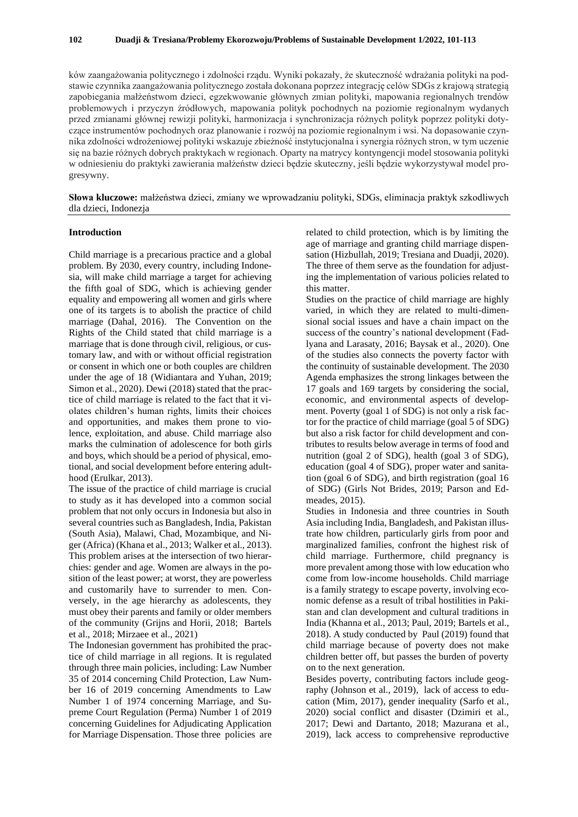ków zaangażowania politycznego i zdolności rządu. Wyniki pokazały, że skuteczność wdrażania polityki na podstawie czynnika zaangażowania politycznego została dokonana poprzez integrację celów SDGs z krajową strategią zapobiegania małżeństwom dzieci, egzekwowanie głównych zmian polityki, mapowania regionalnych trendów problemowych i przyczyn źródłowych, mapowania polityk pochodnych na poziomie regionalnym wydanych przed zmianami głównej rewizji polityki, harmonizacja i synchronizacja różnych polityk poprzez polityki dotyczące instrumentów pochodnych oraz planowanie i rozwój na poziomie regionalnym i wsi. Na dopasowanie czynnika zdolności wdrożeniowej polityki wskazuje zbieżność instytucjonalna i synergia różnych stron, w tym uczenie się na bazie różnych dobrych praktykach w regionach. Oparty na matrycy kontyngencji model stosowania polityki w odniesieniu do praktyki zawierania małżeństw dzieci będzie skuteczny, jeśli będzie wykorzystywał model progresywny.

**Słowa kluczowe:** małżeństwa dzieci, zmiany we wprowadzaniu polityki, SDGs, eliminacja praktyk szkodliwych dla dzieci, Indonezja

## **Introduction**

Child marriage is a precarious practice and a global problem. By 2030, every country, including Indonesia, will make child marriage a target for achieving the fifth goal of SDG, which is achieving gender equality and empowering all women and girls where one of its targets is to abolish the practice of child marriage (Dahal, 2016). The Convention on the Rights of the Child stated that child marriage is a marriage that is done through civil, religious, or customary law, and with or without official registration or consent in which one or both couples are children under the age of 18 (Widiantara and Yuhan, 2019; Simon et al., 2020). Dewi (2018) stated that the practice of child marriage is related to the fact that it violates children's human rights, limits their choices and opportunities, and makes them prone to violence, exploitation, and abuse. Child marriage also marks the culmination of adolescence for both girls and boys, which should be a period of physical, emotional, and social development before entering adulthood (Erulkar, 2013).

The issue of the practice of child marriage is crucial to study as it has developed into a common social problem that not only occurs in Indonesia but also in several countries such as Bangladesh, India, Pakistan (South Asia), Malawi, Chad, Mozambique, and Niger (Africa) (Khana et al., 2013; Walker et al., 2013). This problem arises at the intersection of two hierarchies: gender and age. Women are always in the position of the least power; at worst, they are powerless and customarily have to surrender to men. Conversely, in the age hierarchy as adolescents, they must obey their parents and family or older members of the community (Grijns and Horii, 2018; Bartels et al., 2018; Mirzaee et al., 2021)

The Indonesian government has prohibited the practice of child marriage in all regions. It is regulated through three main policies, including: Law Number 35 of 2014 concerning Child Protection, Law Number 16 of 2019 concerning Amendments to Law Number 1 of 1974 concerning Marriage, and Supreme Court Regulation (Perma) Number 1 of 2019 concerning Guidelines for Adjudicating Application for Marriage Dispensation. Those three policies are related to child protection, which is by limiting the age of marriage and granting child marriage dispensation (Hizbullah, 2019; Tresiana and Duadji, 2020). The three of them serve as the foundation for adjusting the implementation of various policies related to this matter.

Studies on the practice of child marriage are highly varied, in which they are related to multi-dimensional social issues and have a chain impact on the success of the country's national development (Fadlyana and Larasaty, 2016; Baysak et al., 2020). One of the studies also connects the poverty factor with the continuity of sustainable development. The 2030 Agenda emphasizes the strong linkages between the 17 goals and 169 targets by considering the social, economic, and environmental aspects of development. Poverty (goal 1 of SDG) is not only a risk factor for the practice of child marriage (goal 5 of SDG) but also a risk factor for child development and contributes to results below average in terms of food and nutrition (goal 2 of SDG), health (goal 3 of SDG), education (goal 4 of SDG), proper water and sanitation (goal 6 of SDG), and birth registration (goal 16 of SDG) (Girls Not Brides, 2019; Parson and Edmeades, 2015).

Studies in Indonesia and three countries in South Asia including India, Bangladesh, and Pakistan illustrate how children, particularly girls from poor and marginalized families, confront the highest risk of child marriage. Furthermore, child pregnancy is more prevalent among those with low education who come from low-income households. Child marriage is a family strategy to escape poverty, involving economic defense as a result of tribal hostilities in Pakistan and clan development and cultural traditions in India (Khanna et al., 2013; Paul, 2019; Bartels et al., 2018). A study conducted by Paul (2019) found that child marriage because of poverty does not make children better off, but passes the burden of poverty on to the next generation.

Besides poverty, contributing factors include geography (Johnson et al., 2019), lack of access to education (Mim, 2017), gender inequality (Sarfo et al., 2020) social conflict and disaster (Dzimiri et al., 2017; Dewi and Dartanto, 2018; Mazurana et al., 2019), lack access to comprehensive reproductive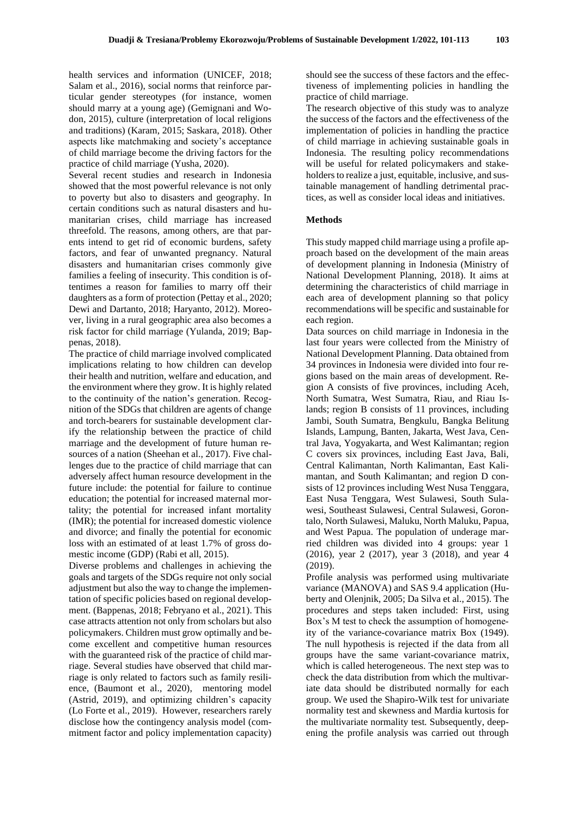health services and information (UNICEF, 2018; Salam et al., 2016), social norms that reinforce particular gender stereotypes (for instance, women should marry at a young age) (Gemignani and Wodon, 2015), culture (interpretation of local religions and traditions) (Karam, 2015; Saskara, 2018). Other aspects like matchmaking and society's acceptance of child marriage become the driving factors for the practice of child marriage (Yusha, 2020).

Several recent studies and research in Indonesia showed that the most powerful relevance is not only to poverty but also to disasters and geography. In certain conditions such as natural disasters and humanitarian crises, child marriage has increased threefold. The reasons, among others, are that parents intend to get rid of economic burdens, safety factors, and fear of unwanted pregnancy. Natural disasters and humanitarian crises commonly give families a feeling of insecurity. This condition is oftentimes a reason for families to marry off their daughters as a form of protection (Pettay et al., 2020; Dewi and Dartanto, 2018; Haryanto, 2012). Moreover, living in a rural geographic area also becomes a risk factor for child marriage (Yulanda, 2019; Bappenas, 2018).

The practice of child marriage involved complicated implications relating to how children can develop their health and nutrition, welfare and education, and the environment where they grow. It is highly related to the continuity of the nation's generation. Recognition of the SDGs that children are agents of change and torch-bearers for sustainable development clarify the relationship between the practice of child marriage and the development of future human resources of a nation (Sheehan et al., 2017). Five challenges due to the practice of child marriage that can adversely affect human resource development in the future include: the potential for failure to continue education; the potential for increased maternal mortality; the potential for increased infant mortality (IMR); the potential for increased domestic violence and divorce; and finally the potential for economic loss with an estimated of at least 1.7% of gross domestic income (GDP) (Rabi et all, 2015).

Diverse problems and challenges in achieving the goals and targets of the SDGs require not only social adjustment but also the way to change the implementation of specific policies based on regional development. (Bappenas, 2018; Febryano et al., 2021). This case attracts attention not only from scholars but also policymakers. Children must grow optimally and become excellent and competitive human resources with the guaranteed risk of the practice of child marriage. Several studies have observed that child marriage is only related to factors such as family resilience, (Baumont et al., 2020), mentoring model (Astrid, 2019), and optimizing children's capacity (Lo Forte et al., 2019). However, researchers rarely disclose how the contingency analysis model (commitment factor and policy implementation capacity) should see the success of these factors and the effectiveness of implementing policies in handling the practice of child marriage.

The research objective of this study was to analyze the success of the factors and the effectiveness of the implementation of policies in handling the practice of child marriage in achieving sustainable goals in Indonesia. The resulting policy recommendations will be useful for related policymakers and stakeholders to realize a just, equitable, inclusive, and sustainable management of handling detrimental practices, as well as consider local ideas and initiatives.

#### **Methods**

This study mapped child marriage using a profile approach based on the development of the main areas of development planning in Indonesia (Ministry of National Development Planning, 2018). It aims at determining the characteristics of child marriage in each area of development planning so that policy recommendations will be specific and sustainable for each region.

Data sources on child marriage in Indonesia in the last four years were collected from the Ministry of National Development Planning. Data obtained from 34 provinces in Indonesia were divided into four regions based on the main areas of development. Region A consists of five provinces, including Aceh, North Sumatra, West Sumatra, Riau, and Riau Islands; region B consists of 11 provinces, including Jambi, South Sumatra, Bengkulu, Bangka Belitung Islands, Lampung, Banten, Jakarta, West Java, Central Java, Yogyakarta, and West Kalimantan; region C covers six provinces, including East Java, Bali, Central Kalimantan, North Kalimantan, East Kalimantan, and South Kalimantan; and region D consists of 12 provinces including West Nusa Tenggara, East Nusa Tenggara, West Sulawesi, South Sulawesi, Southeast Sulawesi, Central Sulawesi, Gorontalo, North Sulawesi, Maluku, North Maluku, Papua, and West Papua. The population of underage married children was divided into 4 groups: year 1 (2016), year 2 (2017), year 3 (2018), and year 4 (2019).

Profile analysis was performed using multivariate variance (MANOVA) and SAS 9.4 application (Huberty and Olenjnik, 2005; Da Silva et al., 2015). The procedures and steps taken included: First, using Box's M test to check the assumption of homogeneity of the variance-covariance matrix Box (1949). The null hypothesis is rejected if the data from all groups have the same variant-covariance matrix, which is called heterogeneous. The next step was to check the data distribution from which the multivariate data should be distributed normally for each group. We used the Shapiro-Wilk test for univariate normality test and skewness and Mardia kurtosis for the multivariate normality test. Subsequently, deepening the profile analysis was carried out through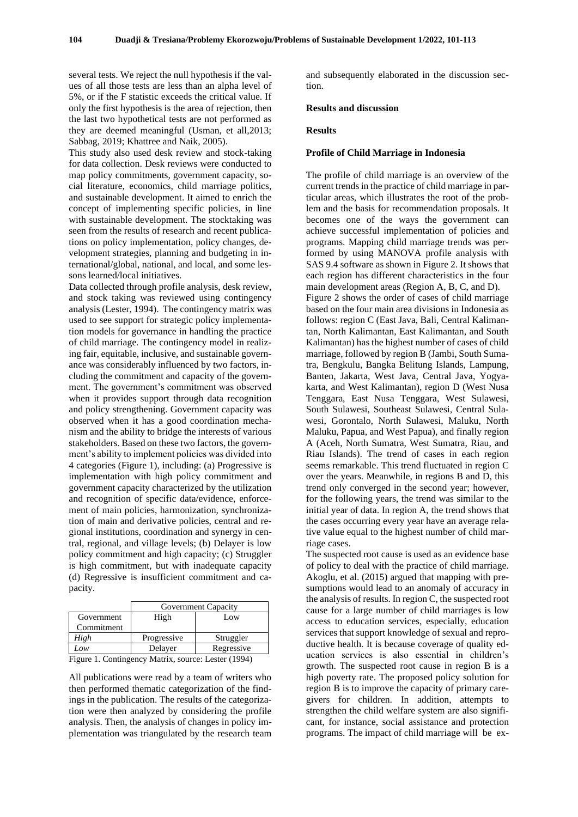several tests. We reject the null hypothesis if the values of all those tests are less than an alpha level of 5%, or if the F statistic exceeds the critical value. If only the first hypothesis is the area of rejection, then the last two hypothetical tests are not performed as they are deemed meaningful (Usman, et all,2013; Sabbag, 2019; Khattree and Naik, 2005).

This study also used desk review and stock-taking for data collection. Desk reviews were conducted to map policy commitments, government capacity, social literature, economics, child marriage politics, and sustainable development. It aimed to enrich the concept of implementing specific policies, in line with sustainable development. The stocktaking was seen from the results of research and recent publications on policy implementation, policy changes, development strategies, planning and budgeting in international/global, national, and local, and some lessons learned/local initiatives.

Data collected through profile analysis, desk review, and stock taking was reviewed using contingency analysis (Lester, 1994). The contingency matrix was used to see support for strategic policy implementation models for governance in handling the practice of child marriage. The contingency model in realizing fair, equitable, inclusive, and sustainable governance was considerably influenced by two factors, including the commitment and capacity of the government. The government's commitment was observed when it provides support through data recognition and policy strengthening. Government capacity was observed when it has a good coordination mechanism and the ability to bridge the interests of various stakeholders. Based on these two factors, the government's ability to implement policies was divided into 4 categories (Figure 1), including: (a) Progressive is implementation with high policy commitment and government capacity characterized by the utilization and recognition of specific data/evidence, enforcement of main policies, harmonization, synchronization of main and derivative policies, central and regional institutions, coordination and synergy in central, regional, and village levels; (b) Delayer is low policy commitment and high capacity; (c) Struggler is high commitment, but with inadequate capacity (d) Regressive is insufficient commitment and capacity.

|                                                     | Government Capacity |            |
|-----------------------------------------------------|---------------------|------------|
| Government                                          | High                | Low        |
| Commitment                                          |                     |            |
| High                                                | Progressive         | Struggler  |
| Low                                                 | Delayer             | Regressive |
| Figure 1. Contingency Matrix, source: Lester (1994) |                     |            |

All publications were read by a team of writers who then performed thematic categorization of the findings in the publication. The results of the categorization were then analyzed by considering the profile analysis. Then, the analysis of changes in policy implementation was triangulated by the research team and subsequently elaborated in the discussion section.

#### **Results and discussion**

#### **Results**

#### **Profile of Child Marriage in Indonesia**

The profile of child marriage is an overview of the current trends in the practice of child marriage in particular areas, which illustrates the root of the problem and the basis for recommendation proposals. It becomes one of the ways the government can achieve successful implementation of policies and programs. Mapping child marriage trends was performed by using MANOVA profile analysis with SAS 9.4 software as shown in Figure 2. It shows that each region has different characteristics in the four main development areas (Region A, B, C, and D).

Figure 2 shows the order of cases of child marriage based on the four main area divisions in Indonesia as follows: region C (East Java, Bali, Central Kalimantan, North Kalimantan, East Kalimantan, and South Kalimantan) has the highest number of cases of child marriage, followed by region B (Jambi, South Sumatra, Bengkulu, Bangka Belitung Islands, Lampung, Banten, Jakarta, West Java, Central Java, Yogyakarta, and West Kalimantan), region D (West Nusa Tenggara, East Nusa Tenggara, West Sulawesi, South Sulawesi, Southeast Sulawesi, Central Sulawesi, Gorontalo, North Sulawesi, Maluku, North Maluku, Papua, and West Papua), and finally region A (Aceh, North Sumatra, West Sumatra, Riau, and Riau Islands). The trend of cases in each region seems remarkable. This trend fluctuated in region C over the years. Meanwhile, in regions B and D, this trend only converged in the second year; however, for the following years, the trend was similar to the initial year of data. In region A, the trend shows that the cases occurring every year have an average relative value equal to the highest number of child marriage cases.

The suspected root cause is used as an evidence base of policy to deal with the practice of child marriage. Akoglu, et al. (2015) argued that mapping with presumptions would lead to an anomaly of accuracy in the analysis of results. In region C, the suspected root cause for a large number of child marriages is low access to education services, especially, education services that support knowledge of sexual and reproductive health. It is because coverage of quality education services is also essential in children's growth. The suspected root cause in region B is a high poverty rate. The proposed policy solution for region B is to improve the capacity of primary caregivers for children. In addition, attempts to strengthen the child welfare system are also significant, for instance, social assistance and protection programs. The impact of child marriage will be ex-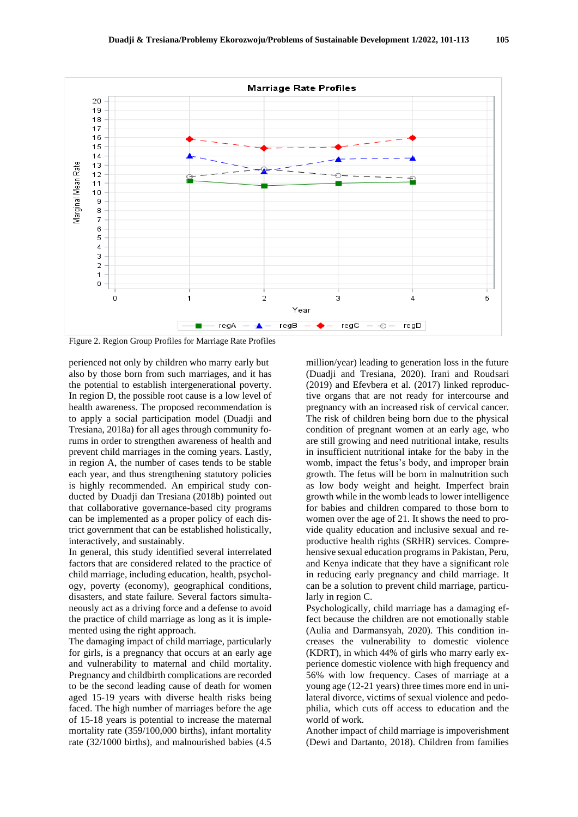

Figure 2. Region Group Profiles for Marriage Rate Profiles

perienced not only by children who marry early but also by those born from such marriages, and it has the potential to establish intergenerational poverty. In region D, the possible root cause is a low level of health awareness. The proposed recommendation is to apply a social participation model (Duadji and Tresiana, 2018a) for all ages through community forums in order to strengthen awareness of health and prevent child marriages in the coming years. Lastly, in region A, the number of cases tends to be stable each year, and thus strengthening statutory policies is highly recommended. An empirical study conducted by Duadji dan Tresiana (2018b) pointed out that collaborative governance-based city programs can be implemented as a proper policy of each district government that can be established holistically, interactively, and sustainably.

In general, this study identified several interrelated factors that are considered related to the practice of child marriage, including education, health, psychology, poverty (economy), geographical conditions, disasters, and state failure. Several factors simultaneously act as a driving force and a defense to avoid the practice of child marriage as long as it is implemented using the right approach.

The damaging impact of child marriage, particularly for girls, is a pregnancy that occurs at an early age and vulnerability to maternal and child mortality. Pregnancy and childbirth complications are recorded to be the second leading cause of death for women aged 15-19 years with diverse health risks being faced. The high number of marriages before the age of 15-18 years is potential to increase the maternal mortality rate (359/100,000 births), infant mortality rate (32/1000 births), and malnourished babies (4.5

million/year) leading to generation loss in the future (Duadji and Tresiana, 2020). Irani and Roudsari (2019) and Efevbera et al. (2017) linked reproductive organs that are not ready for intercourse and pregnancy with an increased risk of cervical cancer. The risk of children being born due to the physical condition of pregnant women at an early age, who are still growing and need nutritional intake, results in insufficient nutritional intake for the baby in the womb, impact the fetus's body, and improper brain growth. The fetus will be born in malnutrition such as low body weight and height. Imperfect brain growth while in the womb leads to lower intelligence for babies and children compared to those born to women over the age of 21. It shows the need to provide quality education and inclusive sexual and reproductive health rights (SRHR) services. Comprehensive sexual education programs in Pakistan, Peru, and Kenya indicate that they have a significant role in reducing early pregnancy and child marriage. It can be a solution to prevent child marriage, particularly in region C.

Psychologically, child marriage has a damaging effect because the children are not emotionally stable (Aulia and Darmansyah, 2020). This condition increases the vulnerability to domestic violence (KDRT), in which 44% of girls who marry early experience domestic violence with high frequency and 56% with low frequency. Cases of marriage at a young age (12-21 years) three times more end in unilateral divorce, victims of sexual violence and pedophilia, which cuts off access to education and the world of work.

Another impact of child marriage is impoverishment (Dewi and Dartanto, 2018). Children from families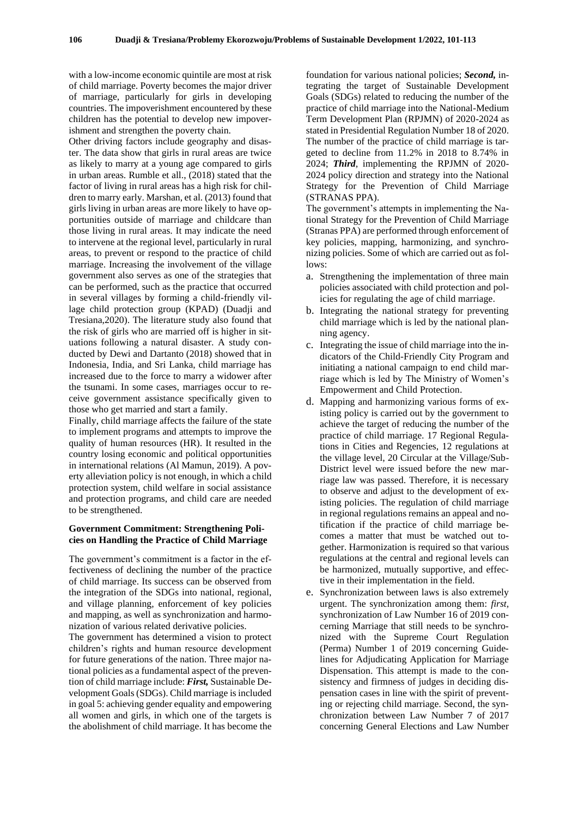with a low-income economic quintile are most at risk of child marriage. Poverty becomes the major driver of marriage, particularly for girls in developing countries. The impoverishment encountered by these children has the potential to develop new impoverishment and strengthen the poverty chain.

Other driving factors include geography and disaster. The data show that girls in rural areas are twice as likely to marry at a young age compared to girls in urban areas. Rumble et all., (2018) stated that the factor of living in rural areas has a high risk for children to marry early. Marshan, et al. (2013) found that girls living in urban areas are more likely to have opportunities outside of marriage and childcare than those living in rural areas. It may indicate the need to intervene at the regional level, particularly in rural areas, to prevent or respond to the practice of child marriage. Increasing the involvement of the village government also serves as one of the strategies that can be performed, such as the practice that occurred in several villages by forming a child-friendly village child protection group (KPAD) (Duadji and Tresiana,2020). The literature study also found that the risk of girls who are married off is higher in situations following a natural disaster. A study conducted by Dewi and Dartanto (2018) showed that in Indonesia, India, and Sri Lanka, child marriage has increased due to the force to marry a widower after the tsunami. In some cases, marriages occur to receive government assistance specifically given to those who get married and start a family.

Finally, child marriage affects the failure of the state to implement programs and attempts to improve the quality of human resources (HR). It resulted in the country losing economic and political opportunities in international relations (Al Mamun, 2019). A poverty alleviation policy is not enough, in which a child protection system, child welfare in social assistance and protection programs, and child care are needed to be strengthened.

## **Government Commitment: Strengthening Policies on Handling the Practice of Child Marriage**

The government's commitment is a factor in the effectiveness of declining the number of the practice of child marriage. Its success can be observed from the integration of the SDGs into national, regional, and village planning, enforcement of key policies and mapping, as well as synchronization and harmonization of various related derivative policies.

The government has determined a vision to protect children's rights and human resource development for future generations of the nation. Three major national policies as a fundamental aspect of the prevention of child marriage include: *First,* Sustainable Development Goals (SDGs). Child marriage is included in goal 5: achieving gender equality and empowering all women and girls, in which one of the targets is the abolishment of child marriage. It has become the

foundation for various national policies; *Second,* integrating the target of Sustainable Development Goals (SDGs) related to reducing the number of the practice of child marriage into the National-Medium Term Development Plan (RPJMN) of 2020-2024 as stated in Presidential Regulation Number 18 of 2020. The number of the practice of child marriage is targeted to decline from 11.2% in 2018 to 8.74% in 2024; *Third*, implementing the RPJMN of 2020- 2024 policy direction and strategy into the National Strategy for the Prevention of Child Marriage (STRANAS PPA).

The government's attempts in implementing the National Strategy for the Prevention of Child Marriage (Stranas PPA) are performed through enforcement of key policies, mapping, harmonizing, and synchronizing policies. Some of which are carried out as follows:

- a. Strengthening the implementation of three main policies associated with child protection and policies for regulating the age of child marriage.
- b. Integrating the national strategy for preventing child marriage which is led by the national planning agency.
- c. Integrating the issue of child marriage into the indicators of the Child-Friendly City Program and initiating a national campaign to end child marriage which is led by The Ministry of Women's Empowerment and Child Protection.
- d. Mapping and harmonizing various forms of existing policy is carried out by the government to achieve the target of reducing the number of the practice of child marriage. 17 Regional Regulations in Cities and Regencies, 12 regulations at the village level, 20 Circular at the Village/Sub-District level were issued before the new marriage law was passed. Therefore, it is necessary to observe and adjust to the development of existing policies. The regulation of child marriage in regional regulations remains an appeal and notification if the practice of child marriage becomes a matter that must be watched out together. Harmonization is required so that various regulations at the central and regional levels can be harmonized, mutually supportive, and effective in their implementation in the field.
- e. Synchronization between laws is also extremely urgent. The synchronization among them: *first,* synchronization of Law Number 16 of 2019 concerning Marriage that still needs to be synchronized with the Supreme Court Regulation (Perma) Number 1 of 2019 concerning Guidelines for Adjudicating Application for Marriage Dispensation. This attempt is made to the consistency and firmness of judges in deciding dispensation cases in line with the spirit of preventing or rejecting child marriage. Second, the synchronization between Law Number 7 of 2017 concerning General Elections and Law Number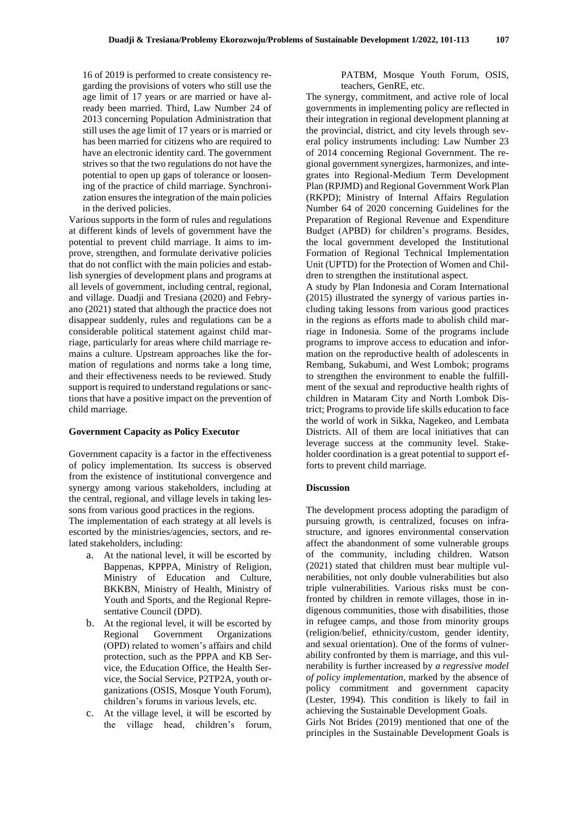16 of 2019 is performed to create consistency regarding the provisions of voters who still use the age limit of 17 years or are married or have already been married. Third, Law Number 24 of 2013 concerning Population Administration that still uses the age limit of 17 years or is married or has been married for citizens who are required to have an electronic identity card. The government strives so that the two regulations do not have the potential to open up gaps of tolerance or loosening of the practice of child marriage. Synchronization ensures the integration of the main policies in the derived policies.

Various supports in the form of rules and regulations at different kinds of levels of government have the potential to prevent child marriage. It aims to improve, strengthen, and formulate derivative policies that do not conflict with the main policies and establish synergies of development plans and programs at all levels of government, including central, regional, and village. Duadji and Tresiana (2020) and Febryano (2021) stated that although the practice does not disappear suddenly, rules and regulations can be a considerable political statement against child marriage, particularly for areas where child marriage remains a culture. Upstream approaches like the formation of regulations and norms take a long time, and their effectiveness needs to be reviewed. Study support is required to understand regulations or sanctions that have a positive impact on the prevention of child marriage.

#### **Government Capacity as Policy Executor**

Government capacity is a factor in the effectiveness of policy implementation. Its success is observed from the existence of institutional convergence and synergy among various stakeholders, including at the central, regional, and village levels in taking lessons from various good practices in the regions.

The implementation of each strategy at all levels is escorted by the ministries/agencies, sectors, and related stakeholders, including:

- a. At the national level, it will be escorted by Bappenas, KPPPA, Ministry of Religion, Ministry of Education and Culture, BKKBN, Ministry of Health, Ministry of Youth and Sports, and the Regional Representative Council (DPD).
- b. At the regional level, it will be escorted by Regional Government Organizations (OPD) related to women's affairs and child protection, such as the PPPA and KB Service, the Education Office, the Health Service, the Social Service, P2TP2A, youth organizations (OSIS, Mosque Youth Forum), children's forums in various levels, etc.
- c. At the village level, it will be escorted by the village head, children's forum,

## PATBM, Mosque Youth Forum, OSIS, teachers, GenRE, etc.

The synergy, commitment, and active role of local governments in implementing policy are reflected in their integration in regional development planning at the provincial, district, and city levels through several policy instruments including: Law Number 23 of 2014 concerning Regional Government. The regional government synergizes, harmonizes, and integrates into Regional-Medium Term Development Plan (RPJMD) and Regional Government Work Plan (RKPD); Ministry of Internal Affairs Regulation Number 64 of 2020 concerning Guidelines for the Preparation of Regional Revenue and Expenditure Budget (APBD) for children's programs. Besides, the local government developed the Institutional Formation of Regional Technical Implementation Unit (UPTD) for the Protection of Women and Children to strengthen the institutional aspect.

A study by Plan Indonesia and Coram International (2015) illustrated the synergy of various parties including taking lessons from various good practices in the regions as efforts made to abolish child marriage in Indonesia. Some of the programs include programs to improve access to education and information on the reproductive health of adolescents in Rembang, Sukabumi, and West Lombok; programs to strengthen the environment to enable the fulfillment of the sexual and reproductive health rights of children in Mataram City and North Lombok District; Programs to provide life skills education to face the world of work in Sikka, Nagekeo, and Lembata Districts. All of them are local initiatives that can leverage success at the community level. Stakeholder coordination is a great potential to support efforts to prevent child marriage.

#### **Discussion**

The development process adopting the paradigm of pursuing growth, is centralized, focuses on infrastructure, and ignores environmental conservation affect the abandonment of some vulnerable groups of the community, including children. Watson (2021) stated that children must bear multiple vulnerabilities, not only double vulnerabilities but also triple vulnerabilities. Various risks must be confronted by children in remote villages, those in indigenous communities, those with disabilities, those in refugee camps, and those from minority groups (religion/belief, ethnicity/custom, gender identity, and sexual orientation). One of the forms of vulnerability confronted by them is marriage, and this vulnerability is further increased by *a regressive model of policy implementation*, marked by the absence of policy commitment and government capacity (Lester, 1994). This condition is likely to fail in achieving the Sustainable Development Goals.

Girls Not Brides (2019) mentioned that one of the principles in the Sustainable Development Goals is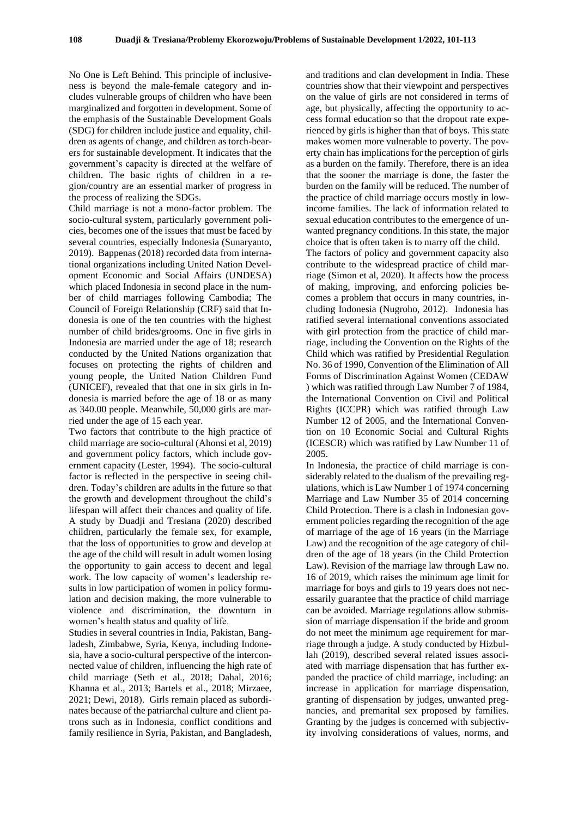No One is Left Behind. This principle of inclusiveness is beyond the male-female category and includes vulnerable groups of children who have been marginalized and forgotten in development. Some of the emphasis of the Sustainable Development Goals (SDG) for children include justice and equality, children as agents of change, and children as torch-bearers for sustainable development. It indicates that the government's capacity is directed at the welfare of children. The basic rights of children in a region/country are an essential marker of progress in the process of realizing the SDGs.

Child marriage is not a mono-factor problem. The socio-cultural system, particularly government policies, becomes one of the issues that must be faced by several countries, especially Indonesia (Sunaryanto, 2019). Bappenas (2018) recorded data from international organizations including United Nation Development Economic and Social Affairs (UNDESA) which placed Indonesia in second place in the number of child marriages following Cambodia; The Council of Foreign Relationship (CRF) said that Indonesia is one of the ten countries with the highest number of child brides/grooms. One in five girls in Indonesia are married under the age of 18; research conducted by the United Nations organization that focuses on protecting the rights of children and young people, the United Nation Children Fund (UNICEF), revealed that that one in six girls in Indonesia is married before the age of 18 or as many as 340.00 people. Meanwhile, 50,000 girls are married under the age of 15 each year.

Two factors that contribute to the high practice of child marriage are socio-cultural (Ahonsi et al, 2019) and government policy factors, which include government capacity (Lester, 1994). The socio-cultural factor is reflected in the perspective in seeing children. Today's children are adults in the future so that the growth and development throughout the child's lifespan will affect their chances and quality of life. A study by Duadji and Tresiana (2020) described children, particularly the female sex, for example, that the loss of opportunities to grow and develop at the age of the child will result in adult women losing the opportunity to gain access to decent and legal work. The low capacity of women's leadership results in low participation of women in policy formulation and decision making, the more vulnerable to violence and discrimination, the downturn in women's health status and quality of life.

Studies in several countries in India, Pakistan, Bangladesh, Zimbabwe, Syria, Kenya, including Indonesia, have a socio-cultural perspective of the interconnected value of children, influencing the high rate of child marriage (Seth et al., 2018; Dahal, 2016; Khanna et al., 2013; Bartels et al., 2018; Mirzaee, 2021; Dewi, 2018). Girls remain placed as subordinates because of the patriarchal culture and client patrons such as in Indonesia, conflict conditions and family resilience in Syria, Pakistan, and Bangladesh,

and traditions and clan development in India. These countries show that their viewpoint and perspectives on the value of girls are not considered in terms of age, but physically, affecting the opportunity to access formal education so that the dropout rate experienced by girls is higher than that of boys. This state makes women more vulnerable to poverty. The poverty chain has implications for the perception of girls as a burden on the family. Therefore, there is an idea that the sooner the marriage is done, the faster the burden on the family will be reduced. The number of the practice of child marriage occurs mostly in lowincome families. The lack of information related to sexual education contributes to the emergence of unwanted pregnancy conditions. In this state, the major choice that is often taken is to marry off the child.

The factors of policy and government capacity also contribute to the widespread practice of child marriage (Simon et al, 2020). It affects how the process of making, improving, and enforcing policies becomes a problem that occurs in many countries, including Indonesia (Nugroho, 2012). Indonesia has ratified several international conventions associated with girl protection from the practice of child marriage, including the Convention on the Rights of the Child which was ratified by Presidential Regulation No. 36 of 1990, Convention of the Elimination of All Forms of Discrimination Against Women (CEDAW ) which was ratified through Law Number 7 of 1984, the International Convention on Civil and Political Rights (ICCPR) which was ratified through Law Number 12 of 2005, and the International Convention on 10 Economic Social and Cultural Rights (ICESCR) which was ratified by Law Number 11 of 2005.

In Indonesia, the practice of child marriage is considerably related to the dualism of the prevailing regulations, which is Law Number 1 of 1974 concerning Marriage and Law Number 35 of 2014 concerning Child Protection. There is a clash in Indonesian government policies regarding the recognition of the age of marriage of the age of 16 years (in the Marriage Law) and the recognition of the age category of children of the age of 18 years (in the Child Protection Law). Revision of the marriage law through Law no. 16 of 2019, which raises the minimum age limit for marriage for boys and girls to 19 years does not necessarily guarantee that the practice of child marriage can be avoided. Marriage regulations allow submission of marriage dispensation if the bride and groom do not meet the minimum age requirement for marriage through a judge. A study conducted by Hizbullah (2019), described several related issues associated with marriage dispensation that has further expanded the practice of child marriage, including: an increase in application for marriage dispensation, granting of dispensation by judges, unwanted pregnancies, and premarital sex proposed by families. Granting by the judges is concerned with subjectivity involving considerations of values, norms, and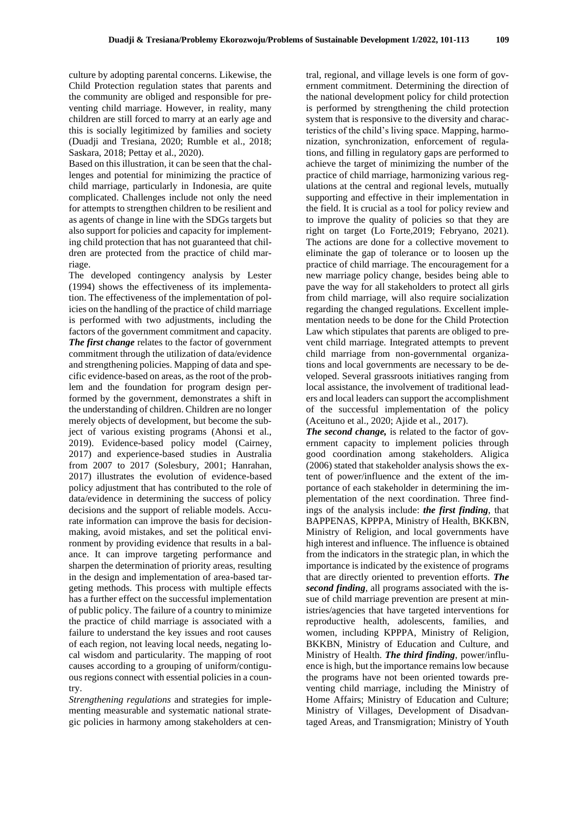culture by adopting parental concerns. Likewise, the Child Protection regulation states that parents and the community are obliged and responsible for preventing child marriage. However, in reality, many children are still forced to marry at an early age and this is socially legitimized by families and society (Duadji and Tresiana, 2020; Rumble et al., 2018; Saskara, 2018; Pettay et al., 2020).

Based on this illustration, it can be seen that the challenges and potential for minimizing the practice of child marriage, particularly in Indonesia, are quite complicated. Challenges include not only the need for attempts to strengthen children to be resilient and as agents of change in line with the SDGs targets but also support for policies and capacity for implementing child protection that has not guaranteed that children are protected from the practice of child marriage.

The developed contingency analysis by Lester (1994) shows the effectiveness of its implementation. The effectiveness of the implementation of policies on the handling of the practice of child marriage is performed with two adjustments, including the factors of the government commitment and capacity. *The first change* relates to the factor of government commitment through the utilization of data/evidence and strengthening policies. Mapping of data and specific evidence-based on areas, as the root of the problem and the foundation for program design performed by the government, demonstrates a shift in the understanding of children. Children are no longer merely objects of development, but become the subject of various existing programs (Ahonsi et al., 2019). Evidence-based policy model (Cairney, 2017) and experience-based studies in Australia from 2007 to 2017 (Solesbury, 2001; Hanrahan, 2017) illustrates the evolution of evidence-based policy adjustment that has contributed to the role of data/evidence in determining the success of policy decisions and the support of reliable models. Accurate information can improve the basis for decisionmaking, avoid mistakes, and set the political environment by providing evidence that results in a balance. It can improve targeting performance and sharpen the determination of priority areas, resulting in the design and implementation of area-based targeting methods. This process with multiple effects has a further effect on the successful implementation of public policy. The failure of a country to minimize the practice of child marriage is associated with a failure to understand the key issues and root causes of each region, not leaving local needs, negating local wisdom and particularity. The mapping of root causes according to a grouping of uniform/contiguous regions connect with essential policies in a country.

*Strengthening regulations* and strategies for implementing measurable and systematic national strategic policies in harmony among stakeholders at cen-

tral, regional, and village levels is one form of government commitment. Determining the direction of the national development policy for child protection is performed by strengthening the child protection system that is responsive to the diversity and characteristics of the child's living space. Mapping, harmonization, synchronization, enforcement of regulations, and filling in regulatory gaps are performed to achieve the target of minimizing the number of the practice of child marriage, harmonizing various regulations at the central and regional levels, mutually supporting and effective in their implementation in the field. It is crucial as a tool for policy review and to improve the quality of policies so that they are right on target (Lo Forte,2019; Febryano, 2021). The actions are done for a collective movement to eliminate the gap of tolerance or to loosen up the practice of child marriage. The encouragement for a new marriage policy change, besides being able to pave the way for all stakeholders to protect all girls from child marriage, will also require socialization regarding the changed regulations. Excellent implementation needs to be done for the Child Protection Law which stipulates that parents are obliged to prevent child marriage. Integrated attempts to prevent child marriage from non-governmental organizations and local governments are necessary to be developed. Several grassroots initiatives ranging from local assistance, the involvement of traditional leaders and local leaders can support the accomplishment of the successful implementation of the policy (Aceituno et al., 2020; Ajide et al., 2017).

*The second change,* is related to the factor of government capacity to implement policies through good coordination among stakeholders. Aligica (2006) stated that stakeholder analysis shows the extent of power/influence and the extent of the importance of each stakeholder in determining the implementation of the next coordination. Three findings of the analysis include: *the first finding*, that BAPPENAS, KPPPA, Ministry of Health, BKKBN, Ministry of Religion, and local governments have high interest and influence. The influence is obtained from the indicators in the strategic plan, in which the importance is indicated by the existence of programs that are directly oriented to prevention efforts. *The second finding*, all programs associated with the issue of child marriage prevention are present at ministries/agencies that have targeted interventions for reproductive health, adolescents, families, and women, including KPPPA, Ministry of Religion, BKKBN, Ministry of Education and Culture, and Ministry of Health. *The third finding*, power/influence is high, but the importance remains low because the programs have not been oriented towards preventing child marriage, including the Ministry of Home Affairs; Ministry of Education and Culture; Ministry of Villages, Development of Disadvantaged Areas, and Transmigration; Ministry of Youth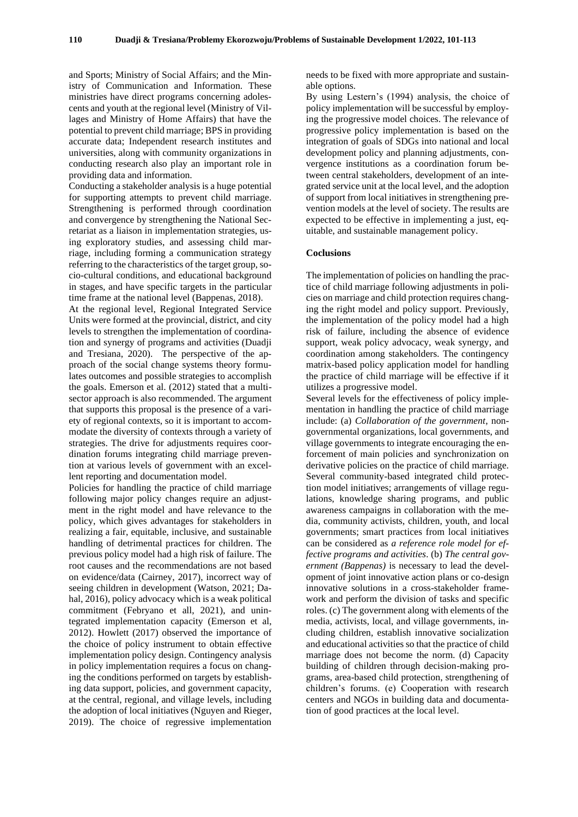and Sports; Ministry of Social Affairs; and the Ministry of Communication and Information. These ministries have direct programs concerning adolescents and youth at the regional level (Ministry of Villages and Ministry of Home Affairs) that have the potential to prevent child marriage; BPS in providing accurate data; Independent research institutes and universities, along with community organizations in conducting research also play an important role in providing data and information.

Conducting a stakeholder analysis is a huge potential for supporting attempts to prevent child marriage. Strengthening is performed through coordination and convergence by strengthening the National Secretariat as a liaison in implementation strategies, using exploratory studies, and assessing child marriage, including forming a communication strategy referring to the characteristics of the target group, socio-cultural conditions, and educational background in stages, and have specific targets in the particular time frame at the national level (Bappenas, 2018).

At the regional level, Regional Integrated Service Units were formed at the provincial, district, and city levels to strengthen the implementation of coordination and synergy of programs and activities (Duadji and Tresiana, 2020). The perspective of the approach of the social change systems theory formulates outcomes and possible strategies to accomplish the goals. Emerson et al. (2012) stated that a multisector approach is also recommended. The argument that supports this proposal is the presence of a variety of regional contexts, so it is important to accommodate the diversity of contexts through a variety of strategies. The drive for adjustments requires coordination forums integrating child marriage prevention at various levels of government with an excellent reporting and documentation model.

Policies for handling the practice of child marriage following major policy changes require an adjustment in the right model and have relevance to the policy, which gives advantages for stakeholders in realizing a fair, equitable, inclusive, and sustainable handling of detrimental practices for children. The previous policy model had a high risk of failure. The root causes and the recommendations are not based on evidence/data (Cairney, 2017), incorrect way of seeing children in development (Watson, 2021; Dahal, 2016), policy advocacy which is a weak political commitment (Febryano et all, 2021), and unintegrated implementation capacity (Emerson et al, 2012). Howlett (2017) observed the importance of the choice of policy instrument to obtain effective implementation policy design. Contingency analysis in policy implementation requires a focus on changing the conditions performed on targets by establishing data support, policies, and government capacity, at the central, regional, and village levels, including the adoption of local initiatives (Nguyen and Rieger, 2019). The choice of regressive implementation

needs to be fixed with more appropriate and sustainable options.

By using Lestern's (1994) analysis, the choice of policy implementation will be successful by employing the progressive model choices. The relevance of progressive policy implementation is based on the integration of goals of SDGs into national and local development policy and planning adjustments, convergence institutions as a coordination forum between central stakeholders, development of an integrated service unit at the local level, and the adoption of support from local initiatives in strengthening prevention models at the level of society. The results are expected to be effective in implementing a just, equitable, and sustainable management policy.

#### **Coclusions**

The implementation of policies on handling the practice of child marriage following adjustments in policies on marriage and child protection requires changing the right model and policy support. Previously, the implementation of the policy model had a high risk of failure, including the absence of evidence support, weak policy advocacy, weak synergy, and coordination among stakeholders. The contingency matrix-based policy application model for handling the practice of child marriage will be effective if it utilizes a progressive model.

Several levels for the effectiveness of policy implementation in handling the practice of child marriage include: (a) *Collaboration of the government*, nongovernmental organizations, local governments, and village governments to integrate encouraging the enforcement of main policies and synchronization on derivative policies on the practice of child marriage. Several community-based integrated child protection model initiatives; arrangements of village regulations, knowledge sharing programs, and public awareness campaigns in collaboration with the media, community activists, children, youth, and local governments; smart practices from local initiatives can be considered as *a reference role model for effective programs and activities*. (b) *The central government (Bappenas)* is necessary to lead the development of joint innovative action plans or co-design innovative solutions in a cross-stakeholder framework and perform the division of tasks and specific roles. (c) The government along with elements of the media, activists, local, and village governments, including children, establish innovative socialization and educational activities so that the practice of child marriage does not become the norm. (d) Capacity building of children through decision-making programs, area-based child protection, strengthening of children's forums. (e) Cooperation with research centers and NGOs in building data and documentation of good practices at the local level.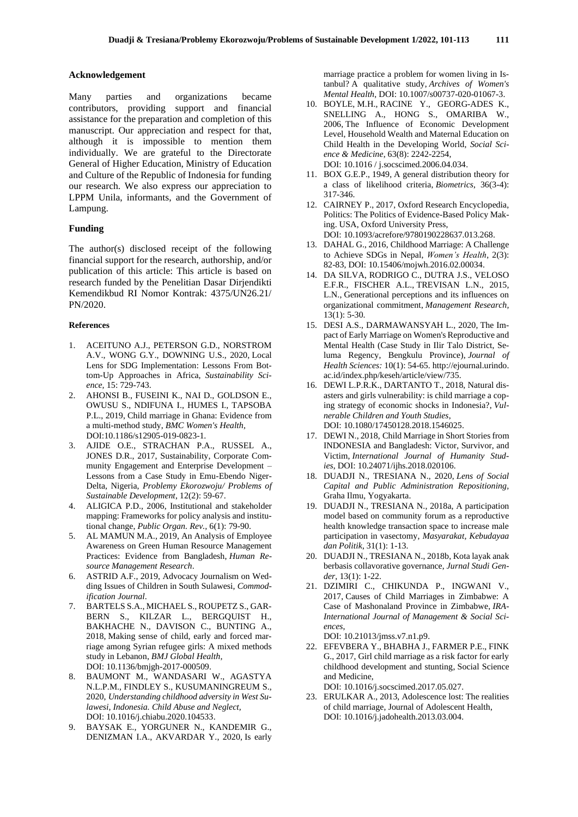#### **Acknowledgement**

Many parties and organizations became contributors, providing support and financial assistance for the preparation and completion of this manuscript. Our appreciation and respect for that, although it is impossible to mention them individually. We are grateful to the Directorate General of Higher Education, Ministry of Education and Culture of the Republic of Indonesia for funding our research. We also express our appreciation to LPPM Unila, informants, and the Government of Lampung.

## **Funding**

The author(s) disclosed receipt of the following financial support for the research, authorship, and/or publication of this article: This article is based on research funded by the Penelitian Dasar Dirjendikti Kemendikbud RI Nomor Kontrak: 4375/UN26.21/ PN/2020.

## **References**

- 1. ACEITUNO A.J., PETERSON G.D., NORSTROM A.V., WONG G.Y., DOWNING U.S., 2020, Local Lens for SDG Implementation: Lessons From Bottom-Up Approaches in Africa, *Sustainability Science,* 15: 729-743.
- 2. AHONSI B., FUSEINI K., NAI D., GOLDSON E., OWUSU S., NDIFUNA I., HUMES I., TAPSOBA P.L., 2019, Child marriage in Ghana: Evidence from a multi-method study, *BMC Women's Health,* DOI:10.1186/s12905-019-0823-1.
- 3. AJIDE O.E., STRACHAN P.A., RUSSEL A., JONES D.R., 2017, Sustainability, Corporate Community Engagement and Enterprise Development – Lessons from a Case Study in Emu-Ebendo Niger-Delta, Nigeria, *Problemy Ekorozwoju/ Problems of Sustainable Development*, 12(2): 59-67.
- 4. ALIGICA P.D., 2006, Institutional and stakeholder mapping: Frameworks for policy analysis and institutional change, *Public Organ. Rev.,* 6(1): 79-90.
- 5. AL MAMUN M.A., 2019, An Analysis of Employee Awareness on Green Human Resource Management Practices: Evidence from Bangladesh, *Human Resource Management Research*.
- 6. ASTRID A.F., 2019, Advocacy Journalism on Wedding Issues of Children in South Sulawesi, *Commodification Journal*.
- 7. BARTELS S.A., MICHAEL S., ROUPETZ S., GAR-BERN S., KILZAR L., BERGQUIST H., BAKHACHE N., DAVISON C., BUNTING A., 2018, Making sense of child, early and forced marriage among Syrian refugee girls: A mixed methods study in Lebanon, *BMJ Global Health,* DOI: 10.1136/bmjgh-2017-000509.
- 8. BAUMONT M., WANDASARI W., AGASTYA N.L.P.M., FINDLEY S., KUSUMANINGREUM S., 2020, *Understanding childhood adversity in West Sulawesi, Indonesia. Child Abuse and Neglect,* DOI: 10.1016/j.chiabu.2020.104533.
- 9. BAYSAK E., YORGUNER N., KANDEMIR G., DENIZMAN I.A., AKVARDAR Y., 2020, Is early

marriage practice a problem for women living in Istanbul? A qualitative study, *Archives of Women's Mental Health*, DOI: 10.1007/s00737-020-01067-3.

- 10. BOYLE, M.H., RACINE Y., GEORG-ADES K., SNELLING A., HONG S., OMARIBA W., 2006, The Influence of Economic Development Level, Household Wealth and Maternal Education on Child Health in the Developing World, *Social Science & Medicine*, 63(8): 2242-2254, DOI: 10.1016 / j.socscimed.2006.04.034.
- 11. BOX G.E.P., 1949, A general distribution theory for a class of likelihood criteria, *Biometrics*, 36(3-4): 317-346.
- 12. CAIRNEY P., 2017, Oxford Research Encyclopedia, Politics: The Politics of Evidence-Based Policy Making. USA, Oxford University Press, DOI: 10.1093/acrefore/9780190228637.013.268.
- 13. DAHAL G., 2016, Childhood Marriage: A Challenge to Achieve SDGs in Nepal, *Women's Health*, 2(3): 82-83, DOI: 10.15406/mojwh.2016.02.00034.
- 14. DA SILVA, RODRIGO C., DUTRA J.S., VELOSO E.F.R., FISCHER A.L., TREVISAN L.N., 2015, L.N., Generational perceptions and its influences on organizational commitment, *Management Research,* 13(1): 5-30.
- 15. DESI A.S., DARMAWANSYAH L., 2020, The Impact of Early Marriage on Women's Reproductive and Mental Health (Case Study in Ilir Talo District, Seluma Regency, Bengkulu Province), *Journal of Health Sciences:* 10(1): 54-65. http://ejournal.urindo. ac.id/index.php/keseh/article/view/735.
- 16. DEWI L.P.R.K., DARTANTO T., 2018, Natural disasters and girls vulnerability: is child marriage a coping strategy of economic shocks in Indonesia?, *Vulnerable Children and Youth Studies*, DOI: 10.1080/17450128.2018.1546025.
- 17. DEWI N., 2018, Child Marriage in Short Stories from INDONESIA and Bangladesh: Victor, Survivor, and Victim, *International Journal of Humanity Studies*, DOI: 10.24071/ijhs.2018.020106.
- 18. DUADJI N., TRESIANA N., 2020, *Lens of Social Capital and Public Administration Repositioning,* Graha Ilmu, Yogyakarta.
- 19. DUADJI N., TRESIANA N., 2018a, A participation model based on community forum as a reproductive health knowledge transaction space to increase male participation in vasectomy, *Masyarakat, Kebudayaa dan Politik*, 31(1): 1-13.
- 20. DUADJI N., TRESIANA N., 2018b, Kota layak anak berbasis collavorative governance, *Jurnal Studi Gender*, 13(1): 1-22.
- 21. DZIMIRI C., CHIKUNDA P., INGWANI V., 2017, Causes of Child Marriages in Zimbabwe: A Case of Mashonaland Province in Zimbabwe, *IRA-International Journal of Management & Social Sciences*,

DOI: 10.21013/jmss.v7.n1.p9.

22. EFEVBERA Y., BHABHA J., FARMER P.E., FINK G., 2017, Girl child marriage as a risk factor for early childhood development and stunting, Social Science and Medicine,

DOI: 10.1016/j.socscimed.2017.05.027.

23. ERULKAR A., 2013, Adolescence lost: The realities of child marriage, Journal of Adolescent Health, DOI: 10.1016/j.jadohealth.2013.03.004.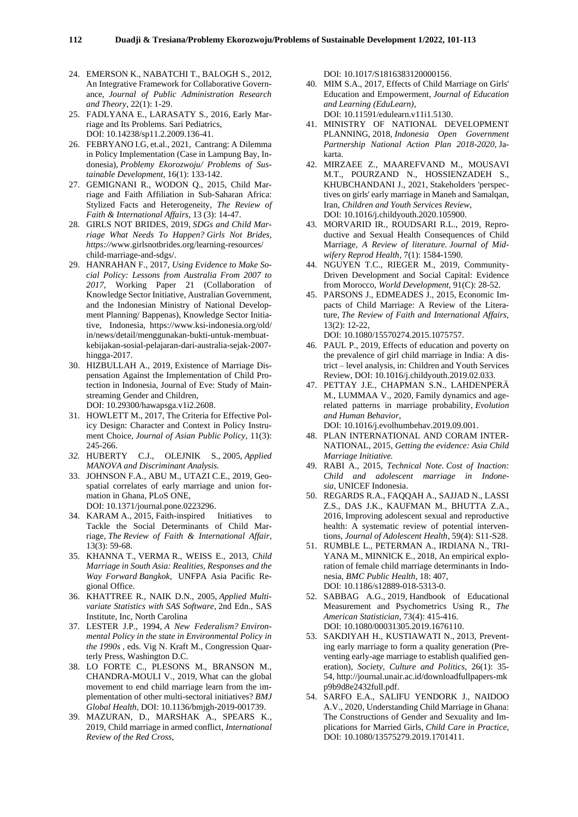- 24. EMERSON K., NABATCHI T., BALOGH S., 2012, An Integrative Framework for Collaborative Governance, *Journal of Public Administration Research and Theory*, 22(1): 1-29.
- 25. FADLYANA E., LARASATY S., 2016, Early Marriage and Its Problems. Sari Pediatrics, DOI: 10.14238/sp11.2.2009.136-41.
- 26. FEBRYANO I.G, et.al., 2021, Cantrang: A Dilemma in Policy Implementation (Case in Lampung Bay, Indonesia), *Problemy Ekorozwoju/ Problems of Sustainable Development,* 16(1): 133-142.
- 27. GEMIGNANI R., WODON Q., 2015, Child Marriage and Faith Affiliation in Sub-Saharan Africa: Stylized Facts and Heterogeneity, *The Review of Faith & International Affairs*, 13 (3): 14-47.
- 28. GIRLS NOT BRIDES, 2019, *SDGs and Child Marriage What Needs To Happen? Girls Not Brides, https://*www.girlsnotbrides.org/learning-resources/ child-marriage-and-sdgs/.
- 29. HANRAHAN F., 2017, *Using Evidence to Make Social Policy: Lessons from Australia From 2007 to 2017*, Working Paper 21 (Collaboration of Knowledge Sector Initiative, Australian Government, and the Indonesian Ministry of National Development Planning/ Bappenas), Knowledge Sector Initiative, Indonesia, https://www.ksi-indonesia.org/old/ in/news/detail/menggunakan-bukti-untuk-membuatkebijakan-sosial-pelajaran-dari-australia-sejak-2007 hingga-2017.
- 30. HIZBULLAH A., 2019, Existence of Marriage Dispensation Against the Implementation of Child Protection in Indonesia, Journal of Eve: Study of Mainstreaming Gender and Children, DOI: 10.29300/hawapsga.v1i2.2608.
- 31. HOWLETT M., 2017, The Criteria for Effective Policy Design: Character and Context in Policy Instrument Choice, *Journal of Asian Public Policy*, 11(3): 245-266.
- *32.* HUBERTY C.J., OLEJNIK S., 2005, *Applied MANOVA and Discriminant Analysis.*
- 33. JOHNSON F.A., ABU M., UTAZI C.E., 2019, Geospatial correlates of early marriage and union formation in Ghana, PLoS ONE, DOI: 10.1371/journal.pone.0223296.
- 34. KARAM A., 2015, Faith-inspired Initiatives to Tackle the Social Determinants of Child Marriage, *The Review of Faith & International Affair*, 13(3): 59-68.
- 35. KHANNA T., VERMA R., WEISS E., 2013, *Child Marriage in South Asia: Realities, Responses and the Way Forward Bangkok,* UNFPA Asia Pacific Regional Office.
- 36. KHATTREE R., NAIK D.N., 2005, *Applied Multivariate Statistics with SAS Software*, 2nd Edn., SAS Institute, Inc, North Carolina
- 37. LESTER J.P., 1994, *A New Federalism? Environmental Policy in the state in Environmental Policy in the 1990s ,* eds. Vig N. Kraft M., Congression Quarterly Press, Washington D.C.
- 38. LO FORTE C., PLESONS M., BRANSON M., CHANDRA-MOULI V., 2019, What can the global movement to end child marriage learn from the implementation of other multi-sectoral initiatives? *BMJ Global Health*, DOI: 10.1136/bmjgh-2019-001739.
- 39. MAZURAN, D., MARSHAK A., SPEARS K., 2019, Child marriage in armed conflict, *International Review of the Red Cross*,

DOI: 10.1017/S1816383120000156.

- 40. MIM S.A., 2017, Effects of Child Marriage on Girls' Education and Empowerment, *Journal of Education and Learning (EduLearn),* DOI: 10.11591/edulearn.v11i1.5130.
- 41. MINISTRY OF NATIONAL DEVELOPMENT
- PLANNING, 2018, *Indonesia Open Government Partnership National Action Plan 2018-2020*, Jakarta.
- 42. MIRZAEE Z., MAAREFVAND M., MOUSAVI M.T., POURZAND N., HOSSIENZADEH S., KHUBCHANDANI J., 2021, Stakeholders 'perspectives on girls' early marriage in Maneh and Samalqan, Iran, *Children and Youth Services Review*, DOI: 10.1016/j.childyouth.2020.105900.
- 43. MORVARID IR., ROUDSARI R.L., 2019, Reproductive and Sexual Health Consequences of Child Marriage, *A Review of literature. Journal of Midwifery Reprod Health,* 7(1): 1584-1590.
- 44. NGUYEN T.C., RIEGER M., 2019, Community-Driven Development and Social Capital: Evidence from Morocco, *World Development*, 91(C): 28-52.
- 45. PARSONS J., EDMEADES J., 2015, Economic Impacts of Child Marriage: A Review of the Literature, *The Review of Faith and International Affairs,* 13(2): 12-22, DOI: [10.1080/15570274.2015.1075757.](https://translate.google.com/translate?hl=id&prev=_t&sl=id&tl=en&u=https://doi.org/10.1080/15570274.2015.1075757)
- 46. PAUL P., 2019, Effects of education and poverty on the prevalence of girl child marriage in India: A district – level analysis, in: Children and Youth Services Review, DOI: 10.1016/j.childyouth.2019.02.033.
- 47. PETTAY J.E., CHAPMAN S.N., LAHDENPERÄ M., LUMMAA V., 2020, Family dynamics and agerelated patterns in marriage probability, *Evolution and Human Behavior*, DOI: 10.1016/j.evolhumbehav.2019.09.001.
- 48. PLAN INTERNATIONAL AND CORAM INTER-NATIONAL, 2015, *Getting the evidence: Asia Child Marriage Initiative.*
- 49. RABI A., 2015, *Technical Note. Cost of Inaction: Child and adolescent marriage in Indonesia,* UNICEF Indonesia.
- 50. REGARDS R.A., FAQQAH A., SAJJAD N., LASSI Z.S., DAS J.K., KAUFMAN M., BHUTTA Z.A., 2016, Improving adolescent sexual and reproductive health: A systematic review of potential interventions, *Journal of Adolescent Health*, 59(4): S11-S28.
- 51. RUMBLE L., PETERMAN A., IRDIANA N., TRI-YANA M., MINNICK E., 2018, An empirical exploration of female child marriage determinants in Indonesia, *BMC Public Health*, 18: 407, DOI: 10.1186/s12889-018-5313-0.
- 52. SABBAG A.G., 2019, Handbook of Educational Measurement and Psychometrics Using R., *The American Statistician*, 73(4): 415-416. DOI: 10.1080/00031305.2019.1676110.
- 53. SAKDIYAH H., KUSTIAWATI N., 2013, Preventing early marriage to form a quality generation (Preventing early-age marriage to establish qualified generation), *Society, Culture and Politics*, 26(1): 35- 54, http://journal.unair.ac.id/downloadfullpapers-mk p9b9d8e2432full.pdf.
- 54. SARFO E.A., SALIFU YENDORK J., NAIDOO A.V., 2020, Understanding Child Marriage in Ghana: The Constructions of Gender and Sexuality and Implications for Married Girls, *Child Care in Practice,*  DOI: 10.1080/13575279.2019.1701411.